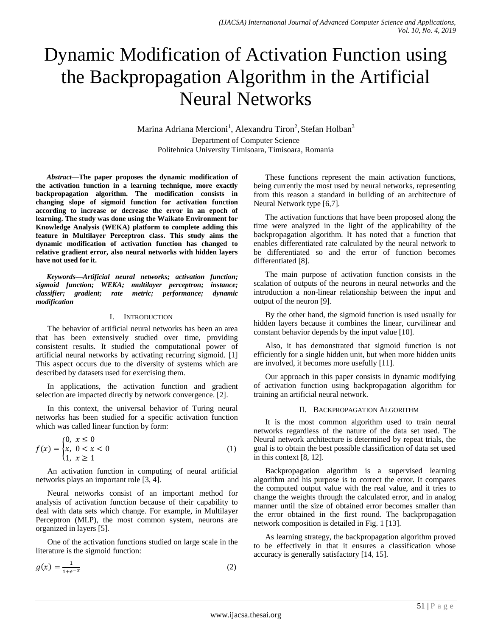# Dynamic Modification of Activation Function using the Backpropagation Algorithm in the Artificial Neural Networks

Marina Adriana Mercioni<sup>1</sup>, Alexandru Tiron<sup>2</sup>, Stefan Holban<sup>3</sup> Department of Computer Science Politehnica University Timisoara, Timisoara, Romania

*Abstract***—The paper proposes the dynamic modification of the activation function in a learning technique, more exactly backpropagation algorithm. The modification consists in changing slope of sigmoid function for activation function according to increase or decrease the error in an epoch of learning. The study was done using the Waikato Environment for Knowledge Analysis (WEKA) platform to complete adding this feature in Multilayer Perceptron class. This study aims the dynamic modification of activation function has changed to relative gradient error, also neural networks with hidden layers have not used for it.**

*Keywords—Artificial neural networks; activation function; sigmoid function; WEKA; multilayer perceptron; instance; classifier; gradient; rate metric; performance; dynamic modification*

#### I. INTRODUCTION

The behavior of artificial neural networks has been an area that has been extensively studied over time, providing consistent results. It studied the computational power of artificial neural networks by activating recurring sigmoid. [1] This aspect occurs due to the diversity of systems which are described by datasets used for exercising them.

In applications, the activation function and gradient selection are impacted directly by network convergence. [2].

In this context, the universal behavior of Turing neural networks has been studied for a specific activation function which was called linear function by form:

$$
f(x) = \begin{cases} 0, & x \le 0 \\ x, & 0 < x < 0 \\ 1, & x \ge 1 \end{cases}
$$
 (1)

An activation function in computing of neural artificial networks plays an important role [3, 4].

Neural networks consist of an important method for analysis of activation function because of their capability to deal with data sets which change. For example, in Multilayer Perceptron (MLP), the most common system, neurons are organized in layers [5].

One of the activation functions studied on large scale in the literature is the sigmoid function:

$$
g(x) = \frac{1}{1 + e^{-x}}\tag{2}
$$

These functions represent the main activation functions, being currently the most used by neural networks, representing from this reason a standard in building of an architecture of Neural Network type [6,7].

The activation functions that have been proposed along the time were analyzed in the light of the applicability of the backpropagation algorithm. It has noted that a function that enables differentiated rate calculated by the neural network to be differentiated so and the error of function becomes differentiated [8].

The main purpose of activation function consists in the scalation of outputs of the neurons in neural networks and the introduction a non-linear relationship between the input and output of the neuron [9].

By the other hand, the sigmoid function is used usually for hidden layers because it combines the linear, curvilinear and constant behavior depends by the input value [10].

Also, it has demonstrated that sigmoid function is not efficiently for a single hidden unit, but when more hidden units are involved, it becomes more usefully [11].

Our approach in this paper consists in dynamic modifying of activation function using backpropagation algorithm for training an artificial neural network.

#### II. BACKPROPAGATION ALGORITHM

It is the most common algorithm used to train neural networks regardless of the nature of the data set used. The Neural network architecture is determined by repeat trials, the goal is to obtain the best possible classification of data set used in this context [8, 12].

Backpropagation algorithm is a supervised learning algorithm and his purpose is to correct the error. It compares the computed output value with the real value, and it tries to change the weights through the calculated error, and in analog manner until the size of obtained error becomes smaller than the error obtained in the first round. The backpropagation network composition is detailed in Fig. 1 [13].

As learning strategy, the backpropagation algorithm proved to be effectively in that it ensures a classification whose accuracy is generally satisfactory [14, 15].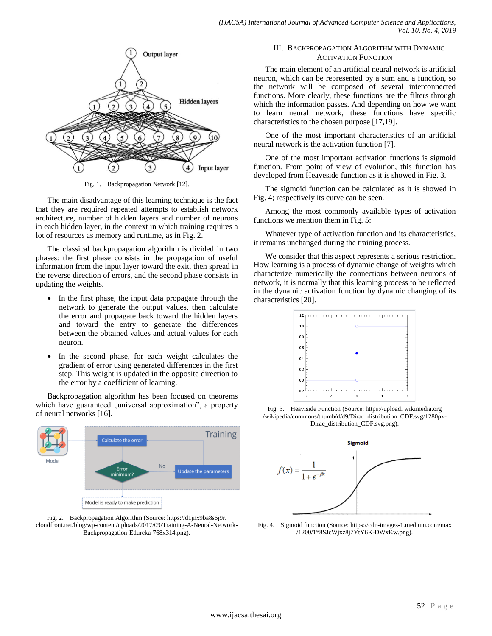

Fig. 1. Backpropagation Network [12].

The main disadvantage of this learning technique is the fact that they are required repeated attempts to establish network architecture, number of hidden layers and number of neurons in each hidden layer, in the context in which training requires a lot of resources as memory and runtime, as in Fig. 2.

The classical backpropagation algorithm is divided in two phases: the first phase consists in the propagation of useful information from the input layer toward the exit, then spread in the reverse direction of errors, and the second phase consists in updating the weights.

- In the first phase, the input data propagate through the network to generate the output values, then calculate the error and propagate back toward the hidden layers and toward the entry to generate the differences between the obtained values and actual values for each neuron.
- In the second phase, for each weight calculates the gradient of error using generated differences in the first step. This weight is updated in the opposite direction to the error by a coefficient of learning.

Backpropagation algorithm has been focused on theorems which have guaranteed "universal approximation", a property of neural networks [16].





# III. BACKPROPAGATION ALGORITHM WITH DYNAMIC ACTIVATION FUNCTION

The main element of an artificial neural network is artificial neuron, which can be represented by a sum and a function, so the network will be composed of several interconnected functions. More clearly, these functions are the filters through which the information passes. And depending on how we want to learn neural network, these functions have specific characteristics to the chosen purpose [17,19].

One of the most important characteristics of an artificial neural network is the activation function [7].

One of the most important activation functions is sigmoid function. From point of view of evolution, this function has developed from Heaveside function as it is showed in Fig. 3.

The sigmoid function can be calculated as it is showed in Fig. 4; respectively its curve can be seen.

Among the most commonly available types of activation functions we mention them in Fig. 5:

Whatever type of activation function and its characteristics, it remains unchanged during the training process.

We consider that this aspect represents a serious restriction. How learning is a process of dynamic change of weights which characterize numerically the connections between neurons of network, it is normally that this learning process to be reflected in the dynamic activation function by dynamic changing of its characteristics [20].



Fig. 3. Heaviside Function (Source: https://upload. wikimedia.org /wikipedia/commons/thumb/d/d9/Dirac\_distribution\_CDF.svg/1280px-Dirac\_distribution\_CDF.svg.png).



Fig. 4. Sigmoid function (Source: https://cdn-images-1.medium.com/max /1200/1\*8SJcWjxz8j7YtY6K-DWxKw.png).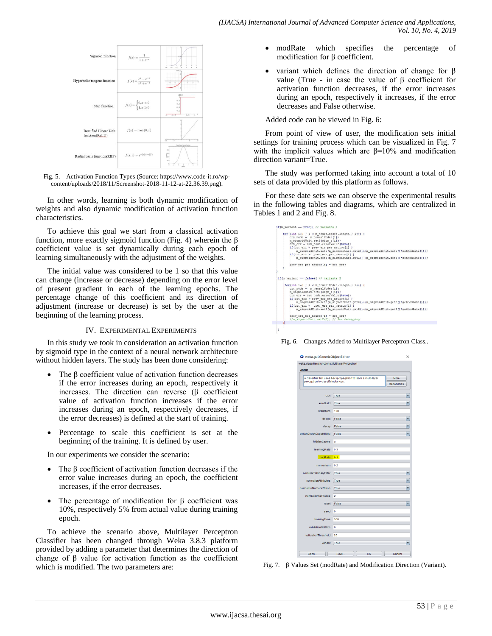

Fig. 5. Activation Function Types (Source[: https://www.code-it.ro/wp](https://www.code-it.ro/wp-content/uploads/2018/11/Screenshot-2018-11-12-at-22.36.39.png)[content/uploads/2018/11/Screenshot-2018-11-12-at-22.36.39.png\)](https://www.code-it.ro/wp-content/uploads/2018/11/Screenshot-2018-11-12-at-22.36.39.png).

In other words, learning is both dynamic modification of weights and also dynamic modification of activation function characteristics.

To achieve this goal we start from a classical activation function, more exactly sigmoid function (Fig. 4) wherein the  $\beta$ coefficient value is set dynamically during each epoch of learning simultaneously with the adjustment of the weights.

The initial value was considered to be 1 so that this value can change (increase or decrease) depending on the error level of present gradient in each of the learning epochs. The percentage change of this coefficient and its direction of adjustment (increase or decrease) is set by the user at the beginning of the learning process.

## IV. EXPERIMENTAL EXPERIMENTS

In this study we took in consideration an activation function by sigmoid type in the context of a neural network architecture without hidden layers. The study has been done considering:

- The  $\beta$  coefficient value of activation function decreases if the error increases during an epoch, respectively it increases. The direction can reverse (β coefficient value of activation function increases if the error increases during an epoch, respectively decreases, if the error decreases) is defined at the start of training.
- Percentage to scale this coefficient is set at the beginning of the training. It is defined by user.

In our experiments we consider the scenario:

- The β coefficient of activation function decreases if the error value increases during an epoch, the coefficient increases, if the error decreases.
- The percentage of modification for β coefficient was 10%, respectively 5% from actual value during training epoch.

To achieve the scenario above, Multilayer Perceptron Classifier has been changed through Weka 3.8.3 platform provided by adding a parameter that determines the direction of change of β value for activation function as the coefficient which is modified. The two parameters are:

- modRate which specifies the percentage of modification for β coefficient.
- variant which defines the direction of change for  $\beta$ value (True - in case the value of β coefficient for activation function decreases, if the error increases during an epoch, respectively it increases, if the error decreases and False otherwise.

Added code can be viewed in Fig. 6:

From point of view of user, the modification sets initial settings for training process which can be visualized in Fig. 7 with the implicit values which are  $\beta = 10\%$  and modification direction variant=True.

The study was performed taking into account a total of 10 sets of data provided by this platform as follows.

For these date sets we can observe the experimental results in the following tables and diagrams, which are centralized in Tables 1 and 2 and Fig. 8.

| if (m variant $-$ true) ( // varianta 1                                                                                                                                                                                                                                                                                                                                                                                                                                                                              |
|----------------------------------------------------------------------------------------------------------------------------------------------------------------------------------------------------------------------------------------------------------------------------------------------------------------------------------------------------------------------------------------------------------------------------------------------------------------------------------------------------------------------|
| for (int i= $0$ ; i < m neuralNodes.length ; i++) {<br>crt node - m neuralNodes[1];<br>m sigmoidUnit.setZ(sigm z[i]);<br>crt err = crt node.errorValue(true);<br>if(crt err < prev err per neuron[i])<br>m sigmoidUnit.setZ(m sigmoidUnit.getZ()+(m sigmoidUnit.getZ()*getHodRate()));<br>if(crt err > prev err per neuron[i])<br>m sigmoidUnit.setZ(m sigmoidUnit.getZ()-(m sigmoidUnit.getZ()*getHodRate()));                                                                                                      |
| prev err per neuronfil = crt err;                                                                                                                                                                                                                                                                                                                                                                                                                                                                                    |
|                                                                                                                                                                                                                                                                                                                                                                                                                                                                                                                      |
| if (m variant == false) { $//$ varianta 2                                                                                                                                                                                                                                                                                                                                                                                                                                                                            |
| for(int $i=0$ ; $i < m$ neuralNodes.length ; $i+1$ ) {<br>$\texttt{crt}$ node = m neuralNodes[i];<br>m sigmoidUnit.set2(sigm z[i]);<br>crt err = crt node.errorValue(true) ;<br>if(crt err > prev err per neuron[i])<br>m sigmoidUnit.setZ(m sigmoidUnit.getZ()+(m sigmoidUnit.getZ()*getModRate()));<br>if(crt err < prev err per neuron[1] )<br>m sigmoidUnit.setZ(m sigmoidUnit.getZ()-(m sigmoidUnit.getZ()*getHodRate()));<br>prev err per neuron $[i]$ = crt err;<br>//m sigmoidUnit.set2(0); // for debugging |
|                                                                                                                                                                                                                                                                                                                                                                                                                                                                                                                      |
|                                                                                                                                                                                                                                                                                                                                                                                                                                                                                                                      |

Fig. 6. Changes Added to Multilayer Perceptron Class..



Fig. 7. β Values Set (modRate) and Modification Direction (Variant).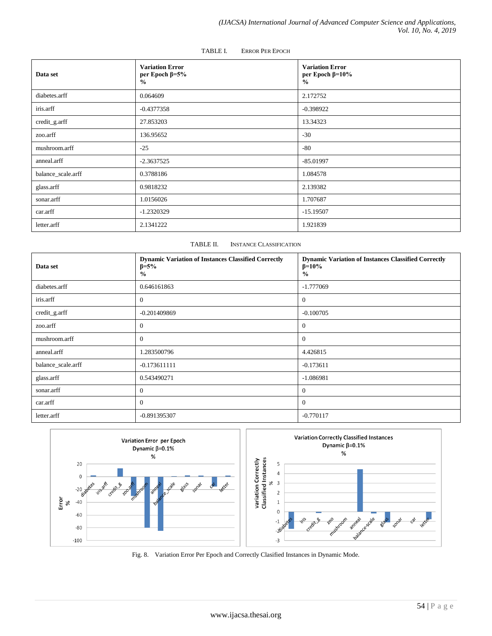| Data set           | <b>Variation Error</b><br>per Epoch $\beta = 5\%$<br>$\frac{0}{0}$ | <b>Variation Error</b><br>per Epoch $\beta$ =10%<br>$\frac{0}{0}$ |
|--------------------|--------------------------------------------------------------------|-------------------------------------------------------------------|
| diabetes.arff      | 0.064609                                                           | 2.172752                                                          |
| iris.arff          | $-0.4377358$                                                       | $-0.398922$                                                       |
| credit_g.arff      | 27.853203                                                          | 13.34323                                                          |
| zoo.arff           | 136.95652                                                          | $-30$                                                             |
| mushroom.arff      | $-25$                                                              | $-80$                                                             |
| anneal.arff        | $-2.3637525$                                                       | $-85.01997$                                                       |
| balance_scale.arff | 0.3788186                                                          | 1.084578                                                          |
| glass.arff         | 0.9818232                                                          | 2.139382                                                          |
| sonar.arff         | 1.0156026                                                          | 1.707687                                                          |
| car.arff           | $-1.2320329$                                                       | $-15.19507$                                                       |
| letter.arff        | 2.1341222                                                          | 1.921839                                                          |

#### TABLE I. ERROR PER EPOCH

## TABLE II. INSTANCE CLASSIFICATION

| Data set           | <b>Dynamic Variation of Instances Classified Correctly</b><br>$\beta = 5\%$<br>$\frac{0}{0}$ | <b>Dynamic Variation of Instances Classified Correctly</b><br>$\beta = 10\%$<br>$\frac{0}{0}$ |
|--------------------|----------------------------------------------------------------------------------------------|-----------------------------------------------------------------------------------------------|
| diabetes.arff      | 0.646161863                                                                                  | $-1.777069$                                                                                   |
| iris.arff          | $\theta$                                                                                     | $\overline{0}$                                                                                |
| credit_g.arff      | $-0.201409869$                                                                               | $-0.100705$                                                                                   |
| zoo.arff           | $\theta$                                                                                     | $\theta$                                                                                      |
| mushroom.arff      | $\theta$                                                                                     | $\overline{0}$                                                                                |
| anneal.arff        | 1.283500796                                                                                  | 4.426815                                                                                      |
| balance_scale.arff | $-0.173611111$                                                                               | $-0.173611$                                                                                   |
| glass.arff         | 0.543490271                                                                                  | $-1.086981$                                                                                   |
| sonar.arff         | $\theta$                                                                                     | $\theta$                                                                                      |
| car.arff           | $\Omega$                                                                                     | $\Omega$                                                                                      |
| letter.arff        | -0.891395307                                                                                 | $-0.770117$                                                                                   |



Fig. 8. Variation Error Per Epoch and Correctly Clasified Instances in Dynamic Mode.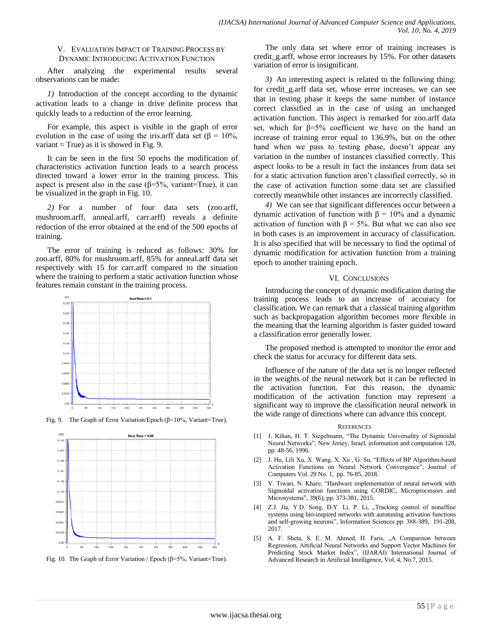## V. EVALUATION IMPACT OF TRAINING PROCESS BY DYNAMIC INTRODUCING ACTIVATION FUNCTION

After analyzing the experimental results several observations can be made:

*1)* Introduction of the concept according to the dynamic activation leads to a change in drive definite process that quickly leads to a reduction of the error learning.

For example, this aspect is visible in the graph of error evolution in the case of using the iris.arff data set ( $\beta = 10\%$ , variant  $=$  True) as it is showed in Fig. 9.

It can be seen in the first 50 epochs the modification of characteristics activation function leads to a search process directed toward a lower error in the training process. This aspect is present also in the case  $(\beta=5\%$ , variant=True), it can be visualized in the graph in Fig. 10.

*2)* For a number of four data sets (zoo.arff, mushroom.arff, anneal.arff, carr.arff) reveals a definite reduction of the error obtained at the end of the 500 epochs of training.

The error of training is reduced as follows: 30% for zoo.arff, 80% for mushroom.arff, 85% for anneal.arff data set respectively with 15 for carr.arff compared to the situation where the training to perform a static activation function whose features remain constant in the training process.



Fig. 9. The Graph of Error Variation/Epoch (β=10%, Variant=True).





The only data set where error of training increases is credit\_g.arff, whose error increases by 15%. For other datasets variation of error is insignificant.

*3)* An interesting aspect is related to the following thing: for credit\_g.arff data set, whose error increases, we can see that in testing phase it keeps the same number of instance correct classified as in the case of using an unchanged activation function. This aspect is remarked for zoo.arff data set, which for  $\beta = 5\%$  coefficient we have on the hand an increase of training error equal to 136.9%, but on the other hand when we pass to testing phase, doesn't appear any variation in the number of instances classified correctly. This aspect looks to be a result in fact the instances from data set for a static activation function aren't classified correctly, so in the case of activation function some data set are classified correctly meanwhile other instances are incorrectly classified.

*4)* We can see that significant differences occur between a dynamic activation of function with β = 10% and a dynamic activation of function with  $β = 5%$ . But what we can also see in both cases is an improvement in accuracy of classification. It is also specified that will be necessary to find the optimal of dynamic modification for activation function from a training epoch to another training epoch.

# VI. CONCLUSIONS

Introducing the concept of dynamic modification during the training process leads to an increase of accuracy for classification. We can remark that a classical training algorithm such as backpropagation algorithm becomes more flexible in the meaning that the learning algorithm is faster guided toward a classification error generally lower.

The proposed method is attempted to monitor the error and check the status for accuracy for different data sets.

Influence of the nature of the data set is no longer reflected in the weights of the neural network but it can be reflected in the activation function. For this reason, the dynamic modification of the activation function may represent a significant way to improve the classification neural network in the wide range of directions where can advance this concept.

#### **REFERENCES**

- [1] J. Kilian, H. T. Siegelmann, "The Dynamic Universality of Sigmoidal Neural Networks", New Jersey, Israel, information and computation 128, pp. 48-56, 1996.
- [2] J. Hu, Lili Xu, X. Wang, X. Xu , G. Su, "Effects of BP Algorithm-based Activation Functions on Neural Network Convergence", Journal of Computers Vol. 29 No. 1, pp. 76-85, 2018.
- [3] V. Tiwari, N. Khare, "Hardware implementation of neural network with Sigmoidal activation functions using CORDIC, Microprocessors and Microsystems", 39(6), pp. 373-381, 2015.
- [4] Z.J. Jia, Y.D. Song, D.Y. Li, P. Li, "Tracking control of nonaffine systems using bio-inspired networks with autotuning activation functions and self-growing neurons", Information Sciences pp. 388-389, 191-208, 2017.
- [5] A. F. Sheta, S. E. M. Ahmed, H. Faris, "A Comparison between Regression, Artificial Neural Networks and Support Vector Machines for Predicting Stock Market Index", (IJARAI) International Journal of Advanced Research in Artificial Intelligence, Vol. 4, No.7, 2015.